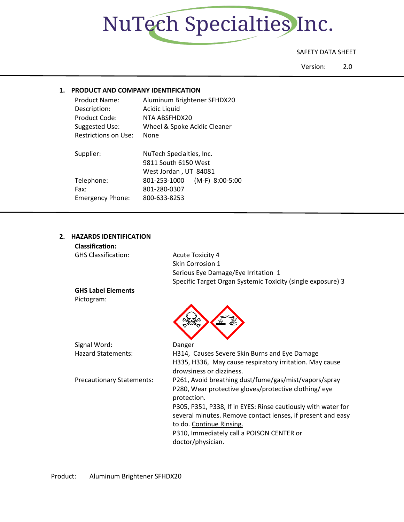

# SAFETY DATA SHEET

Version: 2.0

# **1. PRODUCT AND COMPANY IDENTIFICATION**

| <b>Product Name:</b>    | Aluminum Brightener SFHDX20       |
|-------------------------|-----------------------------------|
| Description:            | Acidic Liquid                     |
| Product Code:           | NTA ABSFHDX20                     |
| Suggested Use:          | Wheel & Spoke Acidic Cleaner      |
| Restrictions on Use:    | None                              |
| Supplier:               | NuTech Specialties, Inc.          |
|                         | 9811 South 6150 West              |
|                         | West Jordan, UT 84081             |
| Telephone:              | $(M-F)$ 8:00-5:00<br>801-253-1000 |
| Fax:                    | 801-280-0307                      |
| <b>Emergency Phone:</b> | 800-633-8253                      |

# **2. HAZARDS IDENTIFICATION**

| <b>Classification:</b>           |                                                                                         |
|----------------------------------|-----------------------------------------------------------------------------------------|
| <b>GHS Classification:</b>       | <b>Acute Toxicity 4</b>                                                                 |
|                                  | Skin Corrosion 1                                                                        |
|                                  | Serious Eye Damage/Eye Irritation 1                                                     |
|                                  | Specific Target Organ Systemic Toxicity (single exposure) 3                             |
| <b>GHS Label Elements</b>        |                                                                                         |
| Pictogram:                       |                                                                                         |
|                                  |                                                                                         |
| Signal Word:                     | Danger                                                                                  |
| <b>Hazard Statements:</b>        | H314, Causes Severe Skin Burns and Eye Damage                                           |
|                                  | H335, H336, May cause respiratory irritation. May cause<br>drowsiness or dizziness.     |
| <b>Precautionary Statements:</b> | P261, Avoid breathing dust/fume/gas/mist/vapors/spray                                   |
|                                  | P280, Wear protective gloves/protective clothing/eye<br>protection.                     |
|                                  | P305, P351, P338, If in EYES: Rinse cautiously with water for                           |
|                                  | several minutes. Remove contact lenses, if present and easy<br>to do. Continue Rinsing. |
|                                  | P310, Immediately call a POISON CENTER or                                               |
|                                  | doctor/physician.                                                                       |
|                                  |                                                                                         |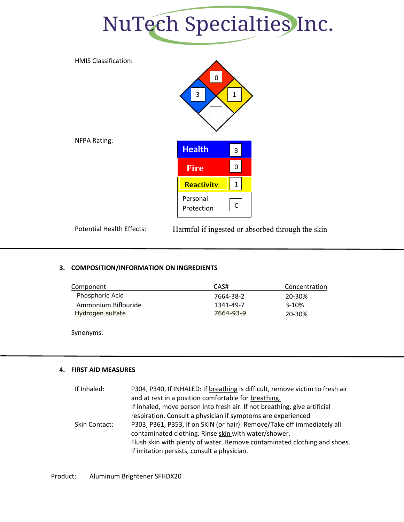



Potential Health Effects: Harmful if ingested or absorbed through the skin

# **3. COMPOSITION/INFORMATION ON INGREDIENTS**

| Component           | CAS#      | Concentration |
|---------------------|-----------|---------------|
| Phosphoric Acid     | 7664-38-2 | 20-30%        |
| Ammonium Biflouride | 1341-49-7 | $3-10%$       |
| Hydrogen sulfate    | 7664-93-9 | 20-30%        |
|                     |           |               |

Synonyms:

# **4. FIRST AID MEASURES**

| If Inhaled:   | P304, P340, If INHALED: If breathing is difficult, remove victim to fresh air |
|---------------|-------------------------------------------------------------------------------|
|               | and at rest in a position comfortable for breathing.                          |
|               | If inhaled, move person into fresh air. If not breathing, give artificial     |
|               | respiration. Consult a physician if symptoms are experienced                  |
| Skin Contact: | P303, P361, P353, If on SKIN (or hair): Remove/Take off immediately all       |
|               | contaminated clothing. Rinse skin with water/shower.                          |
|               | Flush skin with plenty of water. Remove contaminated clothing and shoes.      |
|               | If irritation persists, consult a physician.                                  |

Product: Aluminum Brightener SFHDX20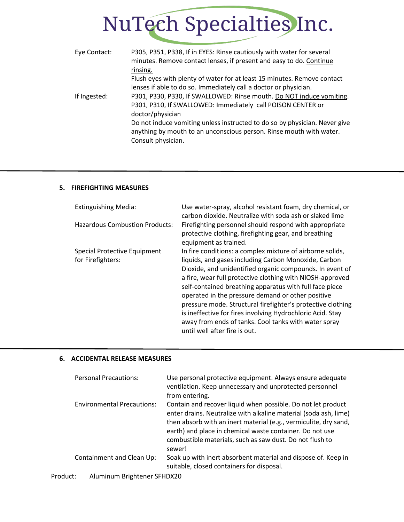| Eye Contact: | P305, P351, P338, If in EYES: Rinse cautiously with water for several<br>minutes. Remove contact lenses, if present and easy to do. Continue |
|--------------|----------------------------------------------------------------------------------------------------------------------------------------------|
|              | rinsing.                                                                                                                                     |
|              | Flush eyes with plenty of water for at least 15 minutes. Remove contact                                                                      |
|              | lenses if able to do so. Immediately call a doctor or physician.                                                                             |
| If Ingested: | P301, P330, P330, If SWALLOWED: Rinse mouth. Do NOT induce vomiting.                                                                         |
|              | P301, P310, If SWALLOWED: Immediately call POISON CENTER or                                                                                  |
|              | doctor/physician                                                                                                                             |
|              | Do not induce vomiting unless instructed to do so by physician. Never give                                                                   |
|              | anything by mouth to an unconscious person. Rinse mouth with water.                                                                          |
|              | Consult physician.                                                                                                                           |

# **5. FIREFIGHTING MEASURES**

| <b>Extinguishing Media:</b>                       | Use water-spray, alcohol resistant foam, dry chemical, or<br>carbon dioxide. Neutralize with soda ash or slaked lime                                                                                                                                                                                                                                                                                                                                                                                                                                                             |
|---------------------------------------------------|----------------------------------------------------------------------------------------------------------------------------------------------------------------------------------------------------------------------------------------------------------------------------------------------------------------------------------------------------------------------------------------------------------------------------------------------------------------------------------------------------------------------------------------------------------------------------------|
| <b>Hazardous Combustion Products:</b>             | Firefighting personnel should respond with appropriate<br>protective clothing, firefighting gear, and breathing<br>equipment as trained.                                                                                                                                                                                                                                                                                                                                                                                                                                         |
| Special Protective Equipment<br>for Firefighters: | In fire conditions: a complex mixture of airborne solids,<br>liquids, and gases including Carbon Monoxide, Carbon<br>Dioxide, and unidentified organic compounds. In event of<br>a fire, wear full protective clothing with NIOSH-approved<br>self-contained breathing apparatus with full face piece<br>operated in the pressure demand or other positive<br>pressure mode. Structural firefighter's protective clothing<br>is ineffective for fires involving Hydrochloric Acid. Stay<br>away from ends of tanks. Cool tanks with water spray<br>until well after fire is out. |

## **6. ACCIDENTAL RELEASE MEASURES**

| <b>Personal Precautions:</b>            | Use personal protective equipment. Always ensure adequate<br>ventilation. Keep unnecessary and unprotected personnel<br>from entering.                                                                                                                                                                                                 |
|-----------------------------------------|----------------------------------------------------------------------------------------------------------------------------------------------------------------------------------------------------------------------------------------------------------------------------------------------------------------------------------------|
| <b>Environmental Precautions:</b>       | Contain and recover liquid when possible. Do not let product<br>enter drains. Neutralize with alkaline material (soda ash, lime)<br>then absorb with an inert material (e.g., vermiculite, dry sand,<br>earth) and place in chemical waste container. Do not use<br>combustible materials, such as saw dust. Do not flush to<br>sewer! |
| Containment and Clean Up:               | Soak up with inert absorbent material and dispose of. Keep in<br>suitable, closed containers for disposal.                                                                                                                                                                                                                             |
| Product:<br>Aluminum Brightener SFHDX20 |                                                                                                                                                                                                                                                                                                                                        |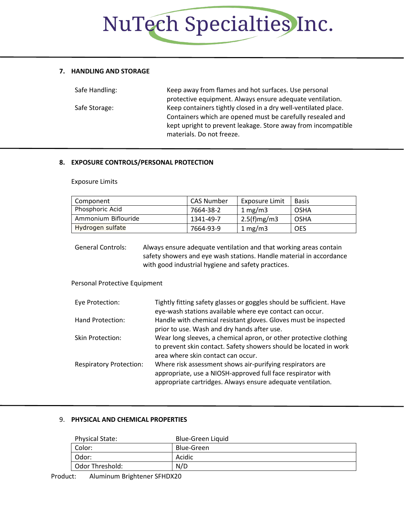#### **7. HANDLING AND STORAGE**

| Safe Handling: | Keep away from flames and hot surfaces. Use personal           |
|----------------|----------------------------------------------------------------|
|                | protective equipment. Always ensure adequate ventilation.      |
| Safe Storage:  | Keep containers tightly closed in a dry well-ventilated place. |
|                | Containers which are opened must be carefully resealed and     |
|                | kept upright to prevent leakage. Store away from incompatible  |
|                | materials. Do not freeze.                                      |

#### **8. EXPOSURE CONTROLS/PERSONAL PROTECTION**

Exposure Limits

| Component           | CAS Number | Exposure Limit | <b>Basis</b> |
|---------------------|------------|----------------|--------------|
| Phosphoric Acid     | 7664-38-2  | 1 mg/m $3$     | OSHA         |
| Ammonium Biflouride | 1341-49-7  | $2.5(f)$ mg/m3 | OSHA         |
| Hydrogen sulfate    | 7664-93-9  | 1 mg/m $3$     | <b>OES</b>   |

General Controls: Always ensure adequate ventilation and that working areas contain safety showers and eye wash stations. Handle material in accordance with good industrial hygiene and safety practices.

Personal Protective Equipment

| Eye Protection:                | Tightly fitting safety glasses or goggles should be sufficient. Have<br>eye-wash stations available where eye contact can occur.                                                        |
|--------------------------------|-----------------------------------------------------------------------------------------------------------------------------------------------------------------------------------------|
| Hand Protection:               | Handle with chemical resistant gloves. Gloves must be inspected<br>prior to use. Wash and dry hands after use.                                                                          |
| <b>Skin Protection:</b>        | Wear long sleeves, a chemical apron, or other protective clothing<br>to prevent skin contact. Safety showers should be located in work<br>area where skin contact can occur.            |
| <b>Respiratory Protection:</b> | Where risk assessment shows air-purifying respirators are<br>appropriate, use a NIOSH-approved full face respirator with<br>appropriate cartridges. Always ensure adequate ventilation. |

#### 9. **PHYSICAL AND CHEMICAL PROPERTIES**

| <b>Physical State:</b> | Blue-Green Liquid |
|------------------------|-------------------|
| Color:                 | Blue-Green        |
| Odor:                  | Acidic            |
| l Odor Threshold:      | N/D               |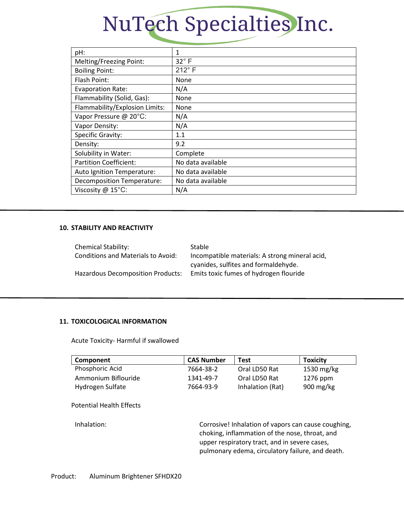| pH:                               | 1                 |
|-----------------------------------|-------------------|
| Melting/Freezing Point:           | $32^\circ$ F      |
| <b>Boiling Point:</b>             | $212^\circ$ F     |
| Flash Point:                      | None              |
| <b>Evaporation Rate:</b>          | N/A               |
| Flammability (Solid, Gas):        | None              |
| Flammability/Explosion Limits:    | None              |
| Vapor Pressure @ 20°C:            | N/A               |
| Vapor Density:                    | N/A               |
| <b>Specific Gravity:</b>          | 1.1               |
| Density:                          | 9.2               |
| Solubility in Water:              | Complete          |
| <b>Partition Coefficient:</b>     | No data available |
| Auto Ignition Temperature:        | No data available |
| <b>Decomposition Temperature:</b> | No data available |
| Viscosity @ 15°C:                 | N/A               |
|                                   |                   |

#### **10. STABILITY AND REACTIVITY**

| Chemical Stability:                       | <b>Stable</b>                                  |
|-------------------------------------------|------------------------------------------------|
| <b>Conditions and Materials to Avoid:</b> | Incompatible materials: A strong mineral acid, |
|                                           | cyanides, sulfites and formaldehyde.           |
| <b>Hazardous Decomposition Products:</b>  | Emits toxic fumes of hydrogen flouride         |

## **11. TOXICOLOGICAL INFORMATION**

Acute Toxicity- Harmful if swallowed

| Component           | <b>CAS Number</b> | <b>Test</b>      | <b>Toxicity</b>        |
|---------------------|-------------------|------------------|------------------------|
| Phosphoric Acid     | 7664-38-2         | Oral LD50 Rat    | 1530 mg/kg             |
| Ammonium Biflouride | 1341-49-7         | Oral LD50 Rat    | $1276$ ppm             |
| Hydrogen Sulfate    | 7664-93-9         | Inhalation (Rat) | $900 \,\mathrm{mg/kg}$ |

#### Potential Health Effects

Inhalation: Corrosive! Inhalation of vapors can cause coughing, choking, inflammation of the nose, throat, and upper respiratory tract, and in severe cases, pulmonary edema, circulatory failure, and death.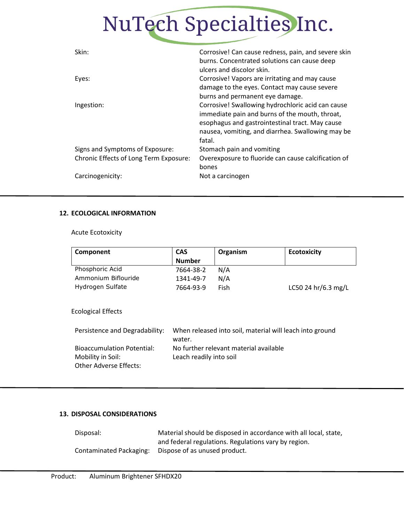| Skin:                                  | Corrosive! Can cause redness, pain, and severe skin |
|----------------------------------------|-----------------------------------------------------|
|                                        | burns. Concentrated solutions can cause deep        |
|                                        | ulcers and discolor skin.                           |
| Eyes:                                  | Corrosive! Vapors are irritating and may cause      |
|                                        | damage to the eyes. Contact may cause severe        |
|                                        | burns and permanent eye damage.                     |
| Ingestion:                             | Corrosive! Swallowing hydrochloric acid can cause   |
|                                        | immediate pain and burns of the mouth, throat,      |
|                                        | esophagus and gastrointestinal tract. May cause     |
|                                        | nausea, vomiting, and diarrhea. Swallowing may be   |
|                                        | fatal.                                              |
| Signs and Symptoms of Exposure:        | Stomach pain and vomiting                           |
| Chronic Effects of Long Term Exposure: | Overexposure to fluoride can cause calcification of |
|                                        | bones                                               |
| Carcinogenicity:                       | Not a carcinogen                                    |
|                                        |                                                     |

#### **12. ECOLOGICAL INFORMATION**

Acute Ecotoxicity

| Component           | <b>CAS</b><br><b>Number</b> | Organism | <b>Ecotoxicity</b>  |
|---------------------|-----------------------------|----------|---------------------|
| Phosphoric Acid     |                             |          |                     |
|                     | 7664-38-2                   | N/A      |                     |
| Ammonium Biflouride | 1341-49-7                   | N/A      |                     |
| Hydrogen Sulfate    | 7664-93-9                   | Fish     | LC50 24 hr/6.3 mg/L |
|                     |                             |          |                     |
|                     |                             |          |                     |

Ecological Effects

| Persistence and Degradability:    | When released into soil, material will leach into ground |
|-----------------------------------|----------------------------------------------------------|
|                                   | water.                                                   |
| <b>Bioaccumulation Potential:</b> | No further relevant material available                   |
| Mobility in Soil:                 | Leach readily into soil                                  |
| Other Adverse Effects:            |                                                          |
|                                   |                                                          |

## **13. DISPOSAL CONSIDERATIONS**

| Disposal:               | Material should be disposed in accordance with all local, state, |
|-------------------------|------------------------------------------------------------------|
|                         | and federal regulations. Regulations vary by region.             |
| Contaminated Packaging: | Dispose of as unused product.                                    |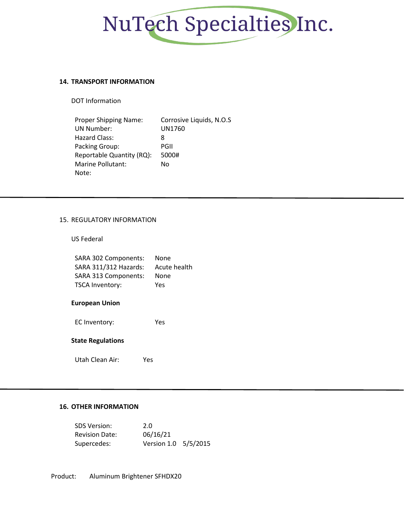

#### **14. TRANSPORT INFORMATION**

DOT Information

| Proper Shipping Name:     | Corrosive Liquids, N.O.S |
|---------------------------|--------------------------|
| <b>UN Number:</b>         | UN1760                   |
| Hazard Class:             | 8                        |
| Packing Group:            | PGII                     |
| Reportable Quantity (RQ): | 5000#                    |
| Marine Pollutant:         | No                       |
| Note:                     |                          |

#### 15. REGULATORY INFORMATION

US Federal

| SARA 302 Components:   | None         |
|------------------------|--------------|
| SARA 311/312 Hazards:  | Acute health |
| SARA 313 Components:   | None         |
| <b>TSCA Inventory:</b> | Yes          |

#### **European Union**

EC Inventory: Yes

# **State Regulations**

Utah Clean Air: Yes

### **16. OTHER INFORMATION**

| <b>SDS Version:</b>   | 2.0                  |  |
|-----------------------|----------------------|--|
| <b>Revision Date:</b> | 06/16/21             |  |
| Supercedes:           | Version 1.0 5/5/2015 |  |